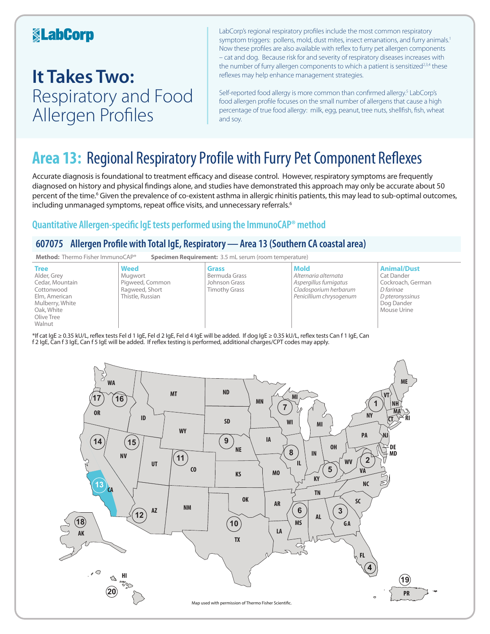### **KabCorp**

## **It Takes Two:**  Respiratory and Food Allergen Profiles

LabCorp's regional respiratory profiles include the most common respiratory symptom triggers: pollens, mold, dust mites, insect emanations, and furry animals.<sup>1</sup> Now these profiles are also available with reflex to furry pet allergen components – cat and dog. Because risk for and severity of respiratory diseases increases with the number of furry allergen components to which a patient is sensitized<sup>2,3,4</sup> these reflexes may help enhance management strategies.

Self-reported food allergy is more common than confirmed allergy.<sup>5</sup> LabCorp's food allergen profile focuses on the small number of allergens that cause a high percentage of true food allergy: milk, egg, peanut, tree nuts, shellfish, fish, wheat and soy.

## **Area 13:** Regional Respiratory Profile with Furry Pet Component Reflexes

Accurate diagnosis is foundational to treatment efficacy and disease control. However, respiratory symptoms are frequently diagnosed on history and physical findings alone, and studies have demonstrated this approach may only be accurate about 50 percent of the time.<sup>6</sup> Given the prevalence of co-existent asthma in allergic rhinitis patients, this may lead to sub-optimal outcomes, including unmanaged symptoms, repeat office visits, and unnecessary referrals.<sup>6</sup>

### **Quantitative Allergen-specific IgE tests performed using the ImmunoCAP® method**

### **607075 Allergen Profile with Total IgE, Respiratory—Area 13 (Southern CA coastal area)**